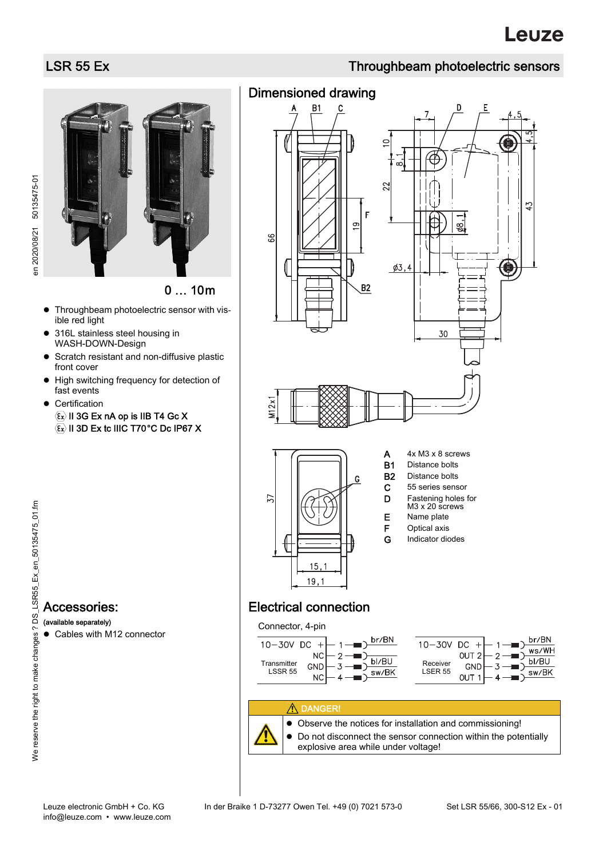# **Leuze**

# LSR 55 Ex Throughbeam photoelectric sensors

en 2020/08/21 50135475-01 en 2020/08/21 50135475-01



0 … 10m

- Throughbeam photoelectric sensor with visible red light
- 316L stainless steel housing in WASH-DOWN-Design
- **•** Scratch resistant and non-diffusive plastic front cover
- $\bullet$  High switching frequency for detection of fast events
- **•** Certification  $\langle \overline{\epsilon_{x}} \rangle$  II 3G Ex nA op is IIB T4 Gc X  $\langle \overline{\epsilon}_x \rangle$  II 3D Ex tc IIIC T70°C Dc IP67 X

## Dimensioned drawing



# Electrical connection

Connector, 4-pin







 Observe the notices for installation and commissioning!  $\bullet$  Do not disconnect the sensor connection within the potentially explosive area while under voltage!

Accessories: (available separately)

Cables with M12 connector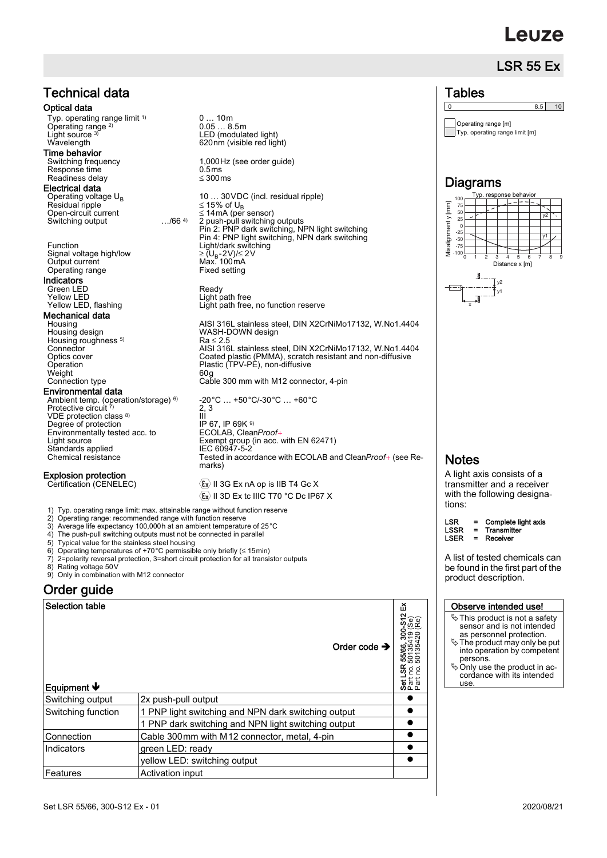# **euze**

### LSR 55 Ex



0 … 10m 0.05 … 8.5m LED (modulated light)  $1,000$ Hz (see order guide)<br>0.5ms 10 ... 30 VDC (incl. residual ripple)  $\leq$  15% of U<sub>B</sub> Open-circuit current 14mA (per sensor) 2 push-pull switching outputs Pin 2: PNP dark switching, NPN light switching Pin 4: PNP light switching, NPN dark switching Function Light/dark switching Light path free, no function reserve Housing **AISI 316L** stainless steel, DIN X2CrNiMo17132, W.No1.4404<br>Housing design **AISI 316L STAIN WASH-DOWN** design  $Ra \leq 2.5$ Connector AISI 316L stainless steel, DIN X2CrNiMo17132, W.No1.4404<br>Optics cover Coated plastic (PMMA), scratch resistant and non-diffusive Optics cover Coated plastic (PMMA), scratch resistant and non-diffusive Operation Plastic (TPV-PE), non-diffusive Cable 300 mm with M12 connector, 4-pin -20°C … +50°C/-30°C … +60°C III<br>IP 67, IP 69K <sup>9)</sup><br>ECOLAB, Clea<u>n</u>Proof+ Tested in accordance with ECOLAB and CleanProof+ (see Re-

> $\langle \overline{\epsilon}_x \rangle$  II 3G Ex nA op is IIB T4 Gc X  $\langle \widehat{\epsilon}_x \rangle$  II 3D Ex tc IIIC T70 °C Dc IP67 X

1) Typ. operating range limit: max. attainable range without function reserve 2) Operating range: recommended range with function reserve

- 
- 3) Average life expectancy 100,000h at an ambient temperature of 25°C The push-pull switching outputs must not be connected in parallel
- 
- 5) Typical value for the stainless steel housing<br>6) Operating temperatures of +70 °C permissible only briefly (≤ 15min)
- 7) 2=polarity reversal protection, 3=short circuit protection for all transistor outputs
- 
- 8) Rating voltage 50V 9) Only in combination with M12 connector

### Order guide

| <b>Selection table</b><br>Equipment $\Psi$ | Order code $\rightarrow$                            | ତ କ<br>ବ<br><b>8</b> 88<br>507<br>507<br>g g<br><b>공</b> 분동 |
|--------------------------------------------|-----------------------------------------------------|-------------------------------------------------------------|
| Switching output                           | 2x push-pull output                                 |                                                             |
| Switching function                         | 1 PNP light switching and NPN dark switching output |                                                             |
|                                            | 1 PNP dark switching and NPN light switching output |                                                             |
| Connection                                 | Cable 300 mm with M12 connector, metal, 4-pin       |                                                             |
| Indicators                                 | green LED: ready                                    |                                                             |
|                                            | yellow LED: switching output                        |                                                             |
| <b>Features</b>                            | Activation input                                    |                                                             |



 $Tw2$ 

y1

x

 $\begin{array}{|c|c|c|c|c|}\n\hline\n0 & 8.5 & 10 \\
\hline\n\end{array}$ 

**Tables** 

### **Notes**

A light axis consists of a transmitter and a receiver with the following designations:

 $LSR = Complete light axis$ <br> $LSSR = Transmitter$ LSSR = Transmitter<br>LSER = Receiver Receiver

A list of tested chemicals can be found in the first part of the product description.

### Observe intended use!

- $\%$  This product is not a safety sensor and is not intended as personnel protection.
- The product may only be put into operation by competent persons.
- Only use the product in ac- cordance with its intended use.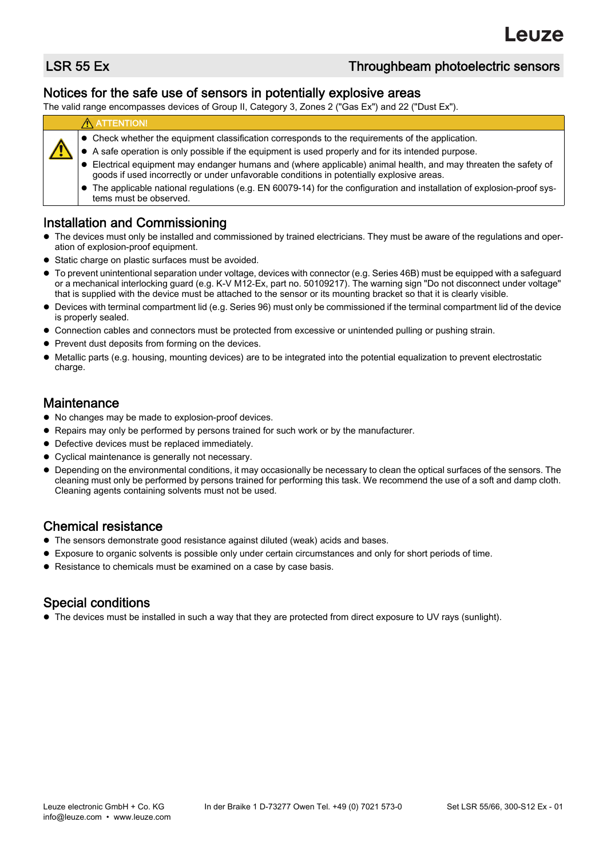### LSR 55 Ex Throughbeam photoelectric sensors

### Notices for the safe use of sensors in potentially explosive areas

The valid range encompasses devices of Group II, Category 3, Zones 2 ("Gas Ex") and 22 ("Dust Ex").

### **A** ATTENTION!

- Check whether the equipment classification corresponds to the requirements of the application.
- A safe operation is only possible if the equipment is used properly and for its intended purpose.
- Electrical equipment may endanger humans and (where applicable) animal health, and may threaten the safety of goods if used incorrectly or under unfavorable conditions in potentially explosive areas.
- The applicable national regulations (e.g. EN 60079-14) for the configuration and installation of explosion-proof systems must be observed.

### Installation and Commissioning

- The devices must only be installed and commissioned by trained electricians. They must be aware of the regulations and operation of explosion-proof equipment.
- Static charge on plastic surfaces must be avoided.
- To prevent unintentional separation under voltage, devices with connector (e.g. Series 46B) must be equipped with a safeguard or a mechanical interlocking guard (e.g. K-V M12-Ex, part no. 50109217). The warning sign "Do not disconnect under voltage" that is supplied with the device must be attached to the sensor or its mounting bracket so that it is clearly visible.
- Devices with terminal compartment lid (e.g. Series 96) must only be commissioned if the terminal compartment lid of the device is properly sealed.
- Connection cables and connectors must be protected from excessive or unintended pulling or pushing strain.
- Prevent dust deposits from forming on the devices.
- Metallic parts (e.g. housing, mounting devices) are to be integrated into the potential equalization to prevent electrostatic charge.

### Maintenance

- $\bullet$  No changes may be made to explosion-proof devices.
- Repairs may only be performed by persons trained for such work or by the manufacturer.
- Defective devices must be replaced immediately.
- Cyclical maintenance is generally not necessary.
- Depending on the environmental conditions, it may occasionally be necessary to clean the optical surfaces of the sensors. The cleaning must only be performed by persons trained for performing this task. We recommend the use of a soft and damp cloth. Cleaning agents containing solvents must not be used.

### Chemical resistance

- The sensors demonstrate good resistance against diluted (weak) acids and bases.
- Exposure to organic solvents is possible only under certain circumstances and only for short periods of time.
- Resistance to chemicals must be examined on a case by case basis.

### Special conditions

The devices must be installed in such a way that they are protected from direct exposure to UV rays (sunlight).